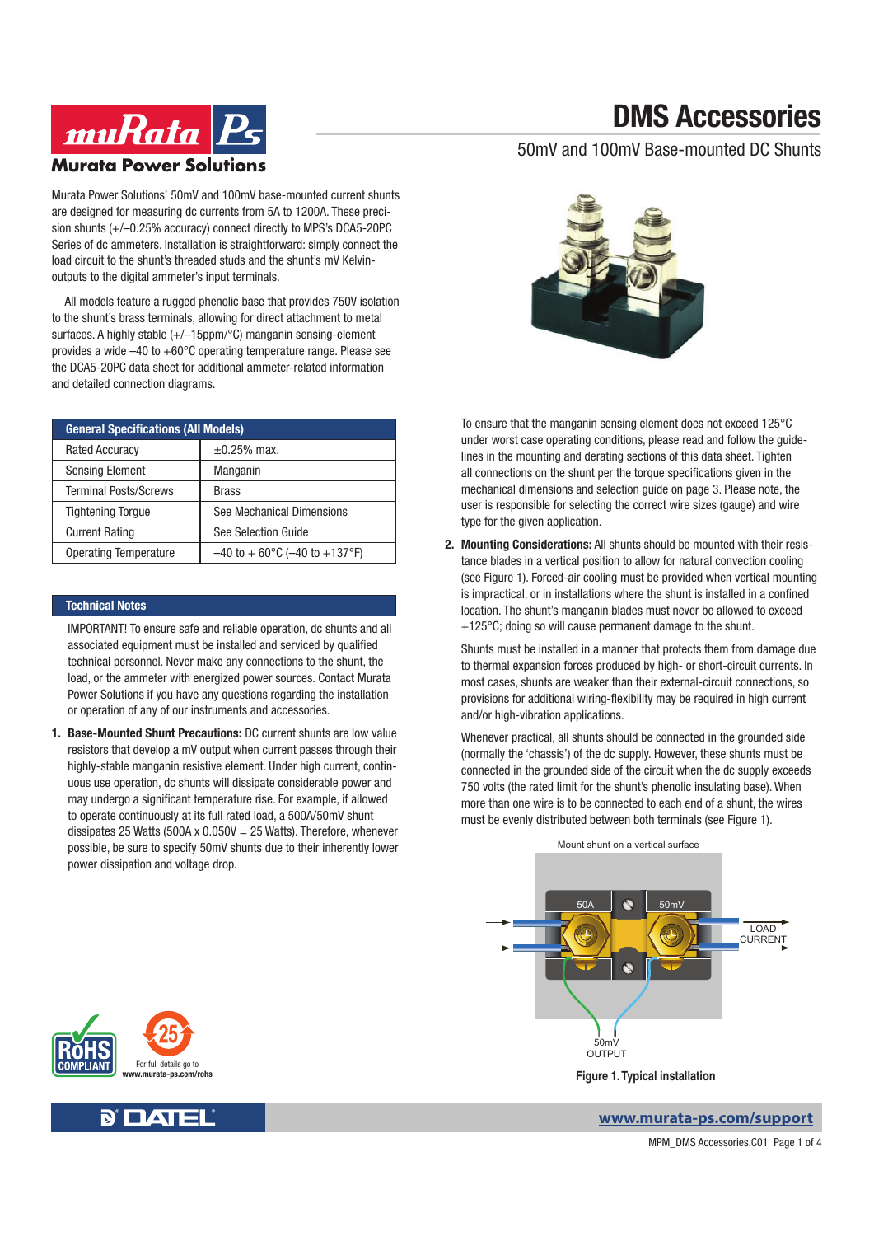

#### Murata Power Solutions' 50mV and 100mV base-mounted current shunts are designed for measuring dc currents from 5A to 1200A. These precision shunts (+/–0.25% accuracy) connect directly to MPS's DCA5-20PC Series of dc ammeters. Installation is straightforward: simply connect the load circuit to the shunt's threaded studs and the shunt's mV Kelvinoutputs to the digital ammeter's input terminals.

All models feature a rugged phenolic base that provides 750V isolation to the shunt's brass terminals, allowing for direct attachment to metal surfaces. A highly stable (+/–15ppm/°C) manganin sensing-element provides a wide –40 to +60°C operating temperature range. Please see the DCA5-20PC data sheet for additional ammeter-related information and detailed connection diagrams.

| <b>General Specifications (All Models)</b> |                                                       |  |  |
|--------------------------------------------|-------------------------------------------------------|--|--|
| <b>Rated Accuracy</b>                      | $\pm 0.25\%$ max.                                     |  |  |
| <b>Sensing Element</b>                     | Manganin                                              |  |  |
| <b>Terminal Posts/Screws</b>               | <b>Brass</b>                                          |  |  |
| <b>Tightening Torque</b>                   | See Mechanical Dimensions                             |  |  |
| <b>Current Rating</b>                      | See Selection Guide                                   |  |  |
| <b>Operating Temperature</b>               | $-40$ to $+60^{\circ}$ C ( $-40$ to $+137^{\circ}$ F) |  |  |

#### Technical Notes

IMPORTANT! To ensure safe and reliable operation, dc shunts and all associated equipment must be installed and serviced by qualified technical personnel. Never make any connections to the shunt, the load, or the ammeter with energized power sources. Contact Murata Power Solutions if you have any questions regarding the installation or operation of any of our instruments and accessories.

1. Base-Mounted Shunt Precautions: DC current shunts are low value resistors that develop a mV output when current passes through their highly-stable manganin resistive element. Under high current, continuous use operation, dc shunts will dissipate considerable power and may undergo a significant temperature rise. For example, if allowed to operate continuously at its full rated load, a 500A/50mV shunt dissipates 25 Watts (500A x  $0.050V = 25$  Watts). Therefore, whenever possible, be sure to specify 50mV shunts due to their inherently lower power dissipation and voltage drop.





## DMS Accessories

#### 50mV and 100mV Base-mounted DC Shunts



To ensure that the manganin sensing element does not exceed 125°C under worst case operating conditions, please read and follow the guidelines in the mounting and derating sections of this data sheet. Tighten all connections on the shunt per the torque specifications given in the mechanical dimensions and selection guide on page 3. Please note, the user is responsible for selecting the correct wire sizes (gauge) and wire type for the given application.

2. Mounting Considerations: All shunts should be mounted with their resistance blades in a vertical position to allow for natural convection cooling (see Figure 1). Forced-air cooling must be provided when vertical mounting is impractical, or in installations where the shunt is installed in a confined location. The shunt's manganin blades must never be allowed to exceed +125°C; doing so will cause permanent damage to the shunt.

 Shunts must be installed in a manner that protects them from damage due to thermal expansion forces produced by high- or short-circuit currents. In most cases, shunts are weaker than their external-circuit connections, so provisions for additional wiring-flexibility may be required in high current and/or high-vibration applications.

 Whenever practical, all shunts should be connected in the grounded side (normally the 'chassis') of the dc supply. However, these shunts must be connected in the grounded side of the circuit when the dc supply exceeds 750 volts (the rated limit for the shunt's phenolic insulating base). When more than one wire is to be connected to each end of a shunt, the wires must be evenly distributed between both terminals (see Figure 1).



**Figure 1. Typical installation**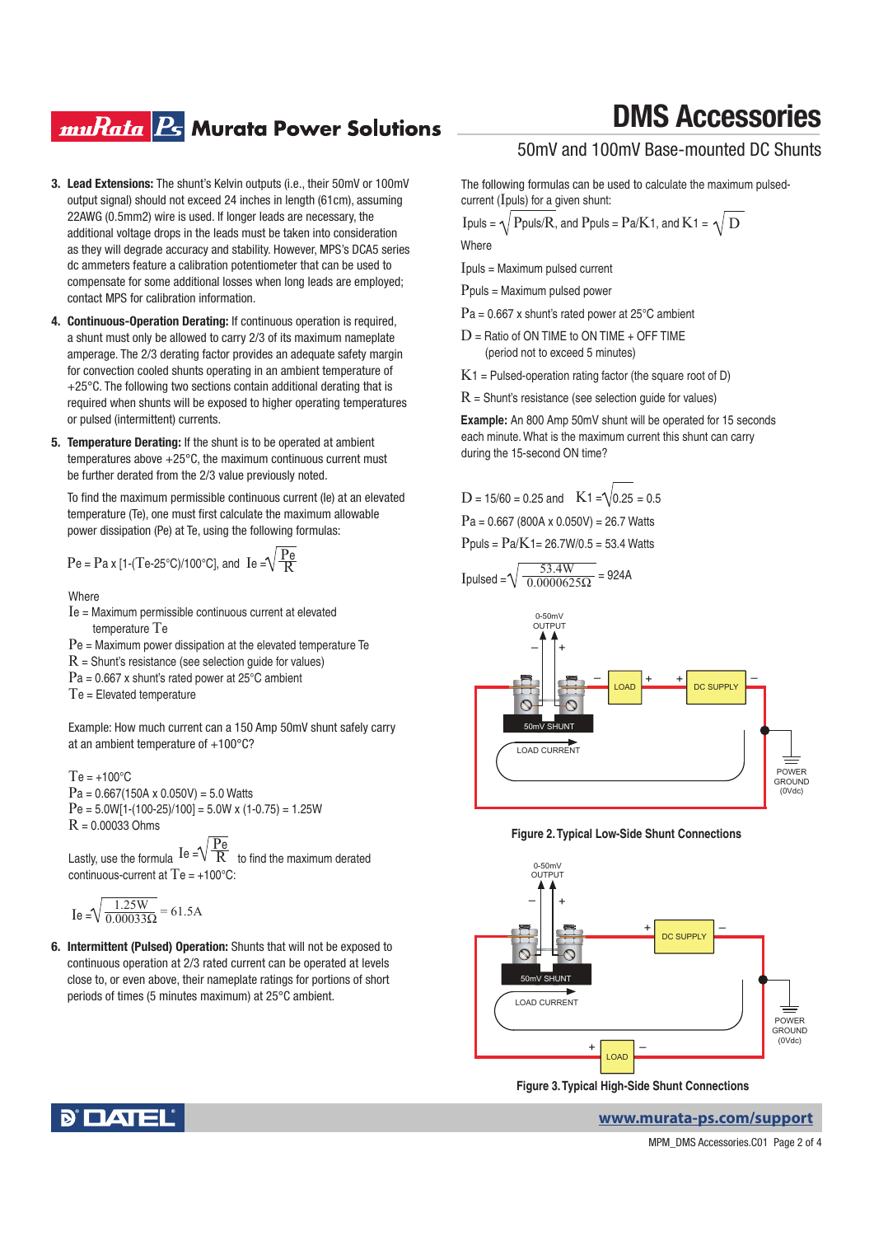### **muRata B<sub>S</sub>** Murata Power Solutions

- 3. Lead Extensions: The shunt's Kelvin outputs (i.e., their 50mV or 100mV output signal) should not exceed 24 inches in length (61cm), assuming 22AWG (0.5mm2) wire is used. If longer leads are necessary, the additional voltage drops in the leads must be taken into consideration as they will degrade accuracy and stability. However, MPS's DCA5 series dc ammeters feature a calibration potentiometer that can be used to compensate for some additional losses when long leads are employed; contact MPS for calibration information.
- 4. Continuous-Operation Derating: If continuous operation is required, a shunt must only be allowed to carry 2/3 of its maximum nameplate amperage. The 2/3 derating factor provides an adequate safety margin for convection cooled shunts operating in an ambient temperature of +25°C. The following two sections contain additional derating that is required when shunts will be exposed to higher operating temperatures or pulsed (intermittent) currents.
- 5. Temperature Derating: If the shunt is to be operated at ambient temperatures above +25°C, the maximum continuous current must be further derated from the 2/3 value previously noted.

To find the maximum permissible continuous current (le) at an elevated temperature (Te), one must first calculate the maximum allowable power dissipation (Pe) at Te, using the following formulas:

$$
Pe = Pa \times [1 \cdot (Te \cdot 25^{\circ}C)/100^{\circ}C], \text{ and } Ie = \sqrt{\frac{Pe}{R}}
$$

**Where** 

- Ie = Maximum permissible continuous current at elevated temperature Te
- Pe = Maximum power dissipation at the elevated temperature Te
- $R =$  Shunt's resistance (see selection guide for values)
- Pa = 0.667 x shunt's rated power at 25°C ambient

Te = Elevated temperature

Example: How much current can a 150 Amp 50mV shunt safely carry at an ambient temperature of +100°C?

 $Te = +100°C$  $Pa = 0.667(150A \times 0.050V) = 5.0$  Watts  $Pe = 5.0W[1-(100-25)/100] = 5.0W \times (1-0.75) = 1.25W$  $R = 0.00033$  Ohms

Lastly, use the formula  $Ie = \sqrt{\frac{Pe}{R}}$  to find the maximum derated continuous-current at Te = +100°C:

$$
Ie = \sqrt{\frac{1.25W}{0.00033\Omega}} = 61.5A
$$

6. Intermittent (Pulsed) Operation: Shunts that will not be exposed to continuous operation at 2/3 rated current can be operated at levels close to, or even above, their nameplate ratings for portions of short periods of times (5 minutes maximum) at 25°C ambient.

## DMS Accessories

### 50mV and 100mV Base-mounted DC Shunts

 The following formulas can be used to calculate the maximum pulsedcurrent (Ipuls) for a given shunt:

Where Ipuls =  $\sqrt{\text{Ppuls/R}}$ , and Ppuls = Pa/K1, and K1 =  $\sqrt{\text{D}}$ 

Ipuls = Maximum pulsed current

Ppuls = Maximum pulsed power

Pa = 0.667 x shunt's rated power at 25°C ambient

D = Ratio of ON TIME to ON TIME + OFF TIME (period not to exceed 5 minutes)

 $K1$  = Pulsed-operation rating factor (the square root of D)

 $R =$  Shunt's resistance (see selection guide for values)

**Example:** An 800 Amp 50mV shunt will be operated for 15 seconds each minute. What is the maximum current this shunt can carry during the 15-second ON time?

 $D = 15/60 = 0.25$  and  $K1 = \sqrt{0.25} = 0.5$  $Pa = 0.667 (800A \times 0.050V) = 26.7$  Watts

 $Ppuls = Pa/K1 = 26.7W/0.5 = 53.4 Watts$ 

$$
I_{\text{pulsed}} = \sqrt{\frac{53.4 \text{W}}{0.0000625 \Omega}} = 924 \text{A}
$$



**Figure 2. Typical Low-Side Shunt Connections**



**Figure 3. Typical High-Side Shunt Connections**

**www.murata-ps.com/support**

**D' LIATEL**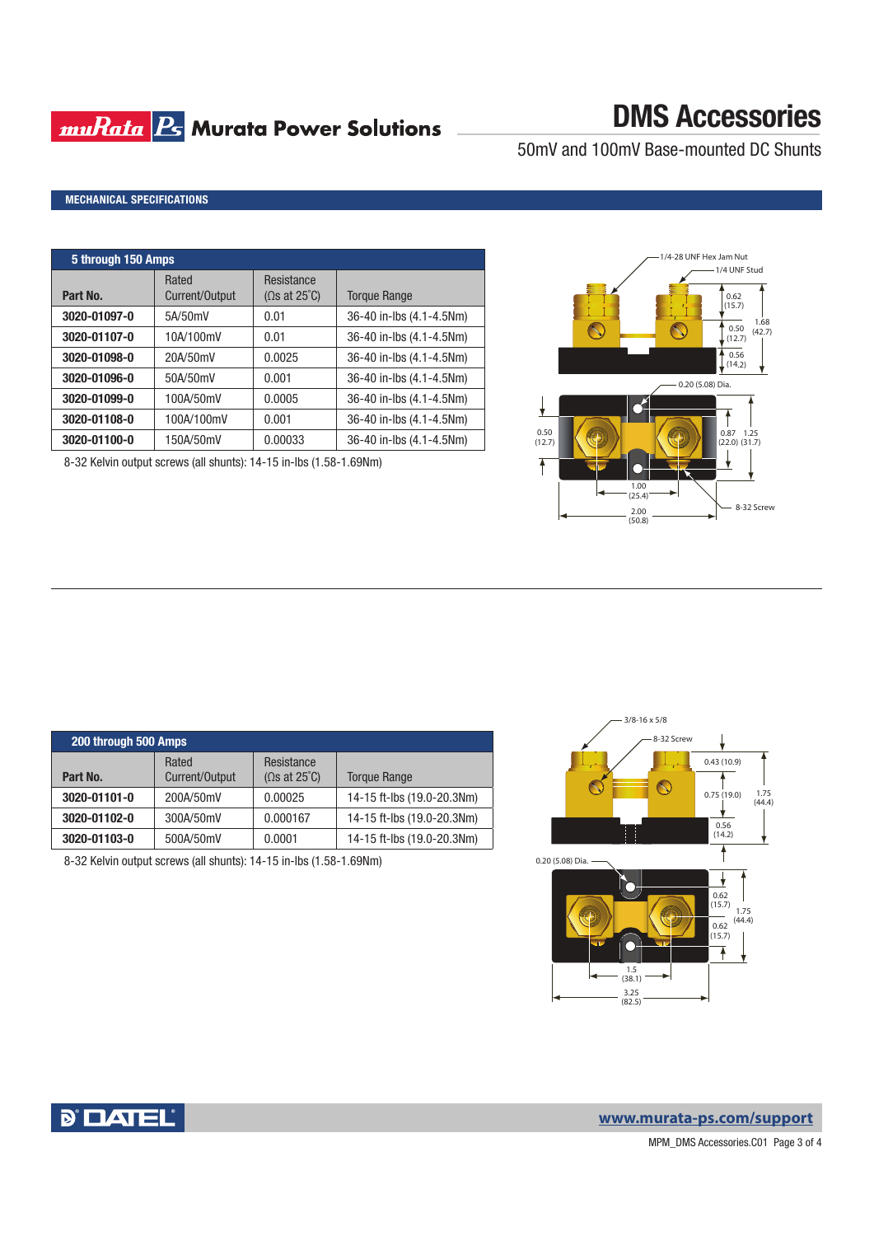## **muRata Ps** Murata Power Solutions

# DMS Accessories

### 50mV and 100mV Base-mounted DC Shunts

#### MECHANICAL SPECIFICATIONS

| 5 through 150 Amps |                         |                                                            |                          |  |  |  |
|--------------------|-------------------------|------------------------------------------------------------|--------------------------|--|--|--|
| Part No.           | Rated<br>Current/Output | Resistance<br>$(\Omega s \text{ at } 25^{\circ} \text{C})$ | <b>Torque Range</b>      |  |  |  |
| 3020-01097-0       | 5A/50mV                 | 0.01                                                       | 36-40 in-lbs (4.1-4.5Nm) |  |  |  |
| 3020-01107-0       | 10A/100mV               | 0.01                                                       | 36-40 in-lbs (4.1-4.5Nm) |  |  |  |
| 3020-01098-0       | 20A/50mV                | 0.0025                                                     | 36-40 in-lbs (4.1-4.5Nm) |  |  |  |
| 3020-01096-0       | 50A/50mV                | 0.001                                                      | 36-40 in-lbs (4.1-4.5Nm) |  |  |  |
| 3020-01099-0       | 100A/50mV               | 0.0005                                                     | 36-40 in-lbs (4.1-4.5Nm) |  |  |  |
| 3020-01108-0       | 100A/100mV              | 0.001                                                      | 36-40 in-lbs (4.1-4.5Nm) |  |  |  |
| 3020-01100-0       | 150A/50mV               | 0.00033                                                    | 36-40 in-lbs (4.1-4.5Nm) |  |  |  |

8-32 Kelvin output screws (all shunts): 14-15 in-lbs (1.58-1.69Nm)



| 200 through 500 Amps |                         |                                                            |                            |  |  |
|----------------------|-------------------------|------------------------------------------------------------|----------------------------|--|--|
| Part No.             | Rated<br>Current/Output | Resistance<br>$(\Omega s \text{ at } 25^{\circ} \text{C})$ | <b>Torque Range</b>        |  |  |
| 3020-01101-0         | 200A/50mV               | 0.00025                                                    | 14-15 ft-lbs (19.0-20.3Nm) |  |  |
| 3020-01102-0         | 300A/50mV               | 0.000167                                                   | 14-15 ft-lbs (19.0-20.3Nm) |  |  |
| 3020-01103-0         | 500A/50mV               | 0.0001                                                     | 14-15 ft-lbs (19.0-20.3Nm) |  |  |

8-32 Kelvin output screws (all shunts): 14-15 in-lbs (1.58-1.69Nm)